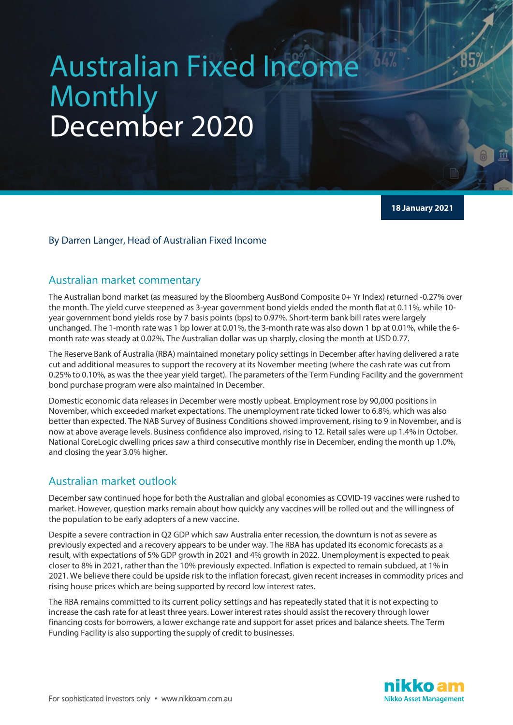# Australian Fixed Income **Monthly** December 2020

**18 January 2021**

#### By Darren Langer, Head of Australian Fixed Income

#### Australian market commentary

The Australian bond market (as measured by the Bloomberg AusBond Composite 0+ Yr Index) returned -0.27% over the month. The yield curve steepened as 3-year government bond yields ended the month flat at 0.11%, while 10 year government bond yields rose by 7 basis points (bps) to 0.97%. Short-term bank bill rates were largely unchanged. The 1-month rate was 1 bp lower at 0.01%, the 3-month rate was also down 1 bp at 0.01%, while the 6 month rate was steady at 0.02%. The Australian dollar was up sharply, closing the month at USD 0.77.

The Reserve Bank of Australia (RBA) maintained monetary policy settings in December after having delivered a rate cut and additional measures to support the recovery at its November meeting (where the cash rate was cut from 0.25% to 0.10%, as was the thee year yield target). The parameters of the Term Funding Facility and the government bond purchase program were also maintained in December.

Domestic economic data releases in December were mostly upbeat. Employment rose by 90,000 positions in November, which exceeded market expectations. The unemployment rate ticked lower to 6.8%, which was also better than expected. The NAB Survey of Business Conditions showed improvement, rising to 9 in November, and is now at above average levels. Business confidence also improved, rising to 12. Retail sales were up 1.4% in October. National CoreLogic dwelling prices saw a third consecutive monthly rise in December, ending the month up 1.0%, and closing the year 3.0% higher.

# Australian market outlook

December saw continued hope for both the Australian and global economies as COVID-19 vaccines were rushed to market. However, question marks remain about how quickly any vaccines will be rolled out and the willingness of the population to be early adopters of a new vaccine.

Despite a severe contraction in Q2 GDP which saw Australia enter recession, the downturn is not as severe as previously expected and a recovery appears to be under way. The RBA has updated its economic forecasts as a result, with expectations of 5% GDP growth in 2021 and 4% growth in 2022. Unemployment is expected to peak closer to 8% in 2021, rather than the 10% previously expected. Inflation is expected to remain subdued, at 1% in 2021. We believe there could be upside risk to the inflation forecast, given recent increases in commodity prices and rising house prices which are being supported by record low interest rates.

The RBA remains committed to its current policy settings and has repeatedly stated that it is not expecting to increase the cash rate for at least three years. Lower interest rates should assist the recovery through lower financing costs for borrowers, a lower exchange rate and support for asset prices and balance sheets. The Term Funding Facility is also supporting the supply of credit to businesses.

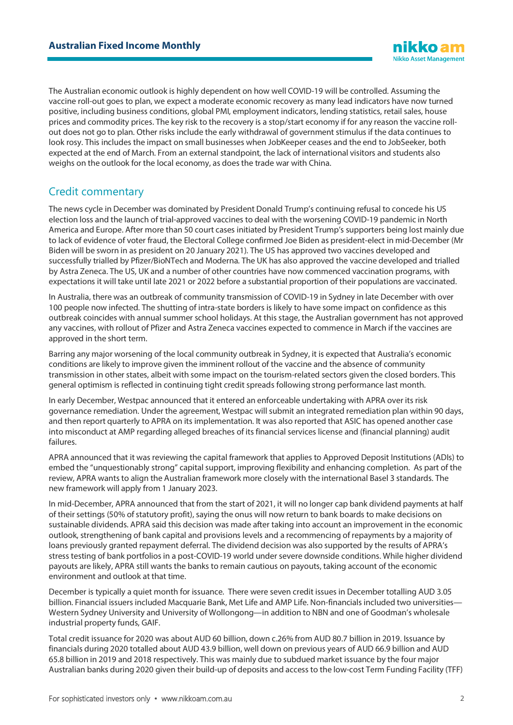The Australian economic outlook is highly dependent on how well COVID-19 will be controlled. Assuming the vaccine roll-out goes to plan, we expect a moderate economic recovery as many lead indicators have now turned positive, including business conditions, global PMI, employment indicators, lending statistics, retail sales, house prices and commodity prices. The key risk to the recovery is a stop/start economy if for any reason the vaccine rollout does not go to plan. Other risks include the early withdrawal of government stimulus if the data continues to look rosy. This includes the impact on small businesses when JobKeeper ceases and the end to JobSeeker, both expected at the end of March. From an external standpoint, the lack of international visitors and students also weighs on the outlook for the local economy, as does the trade war with China.

# Credit commentary

The news cycle in December was dominated by President Donald Trump's continuing refusal to concede his US election loss and the launch of trial-approved vaccines to deal with the worsening COVID-19 pandemic in North America and Europe. After more than 50 court cases initiated by President Trump's supporters being lost mainly due to lack of evidence of voter fraud, the Electoral College confirmed Joe Biden as president-elect in mid-December (Mr Biden will be sworn in as president on 20 January 2021). The US has approved two vaccines developed and successfully trialled by Pfizer/BioNTech and Moderna. The UK has also approved the vaccine developed and trialled by Astra Zeneca. The US, UK and a number of other countries have now commenced vaccination programs, with expectations it will take until late 2021 or 2022 before a substantial proportion of their populations are vaccinated.

In Australia, there was an outbreak of community transmission of COVID-19 in Sydney in late December with over 100 people now infected. The shutting of intra-state borders is likely to have some impact on confidence as this outbreak coincides with annual summer school holidays. At this stage, the Australian government has not approved any vaccines, with rollout of Pfizer and Astra Zeneca vaccines expected to commence in March if the vaccines are approved in the short term.

Barring any major worsening of the local community outbreak in Sydney, it is expected that Australia's economic conditions are likely to improve given the imminent rollout of the vaccine and the absence of community transmission in other states, albeit with some impact on the tourism-related sectors given the closed borders. This general optimism is reflected in continuing tight credit spreads following strong performance last month.

In early December, Westpac announced that it entered an enforceable undertaking with APRA over its risk governance remediation. Under the agreement, Westpac will submit an integrated remediation plan within 90 days, and then report quarterly to APRA on its implementation. It was also reported that ASIC has opened another case into misconduct at AMP regarding alleged breaches of its financial services license and (financial planning) audit failures.

APRA announced that it was reviewing the capital framework that applies to Approved Deposit Institutions (ADIs) to embed the "unquestionably strong" capital support, improving flexibility and enhancing completion. As part of the review, APRA wants to align the Australian framework more closely with the international Basel 3 standards. The new framework will apply from 1 January 2023.

In mid-December, APRA announced that from the start of 2021, it will no longer cap bank dividend payments at half of their settings (50% of statutory profit), saying the onus will now return to bank boards to make decisions on sustainable dividends. APRA said this decision was made after taking into account an improvement in the economic outlook, strengthening of bank capital and provisions levels and a recommencing of repayments by a majority of loans previously granted repayment deferral. The dividend decision was also supported by the results of APRA's stress testing of bank portfolios in a post-COVID-19 world under severe downside conditions. While higher dividend payouts are likely, APRA still wants the banks to remain cautious on payouts, taking account of the economic environment and outlook at that time.

December is typically a quiet month for issuance. There were seven credit issues in December totalling AUD 3.05 billion. Financial issuers included Macquarie Bank, Met Life and AMP Life. Non-financials included two universities— Western Sydney University and University of Wollongong—in addition to NBN and one of Goodman's wholesale industrial property funds, GAIF.

Total credit issuance for 2020 was about AUD 60 billion, down c.26% from AUD 80.7 billion in 2019. Issuance by financials during 2020 totalled about AUD 43.9 billion, well down on previous years of AUD 66.9 billion and AUD 65.8 billion in 2019 and 2018 respectively. This was mainly due to subdued market issuance by the four major Australian banks during 2020 given their build-up of deposits and access to the low-cost Term Funding Facility (TFF)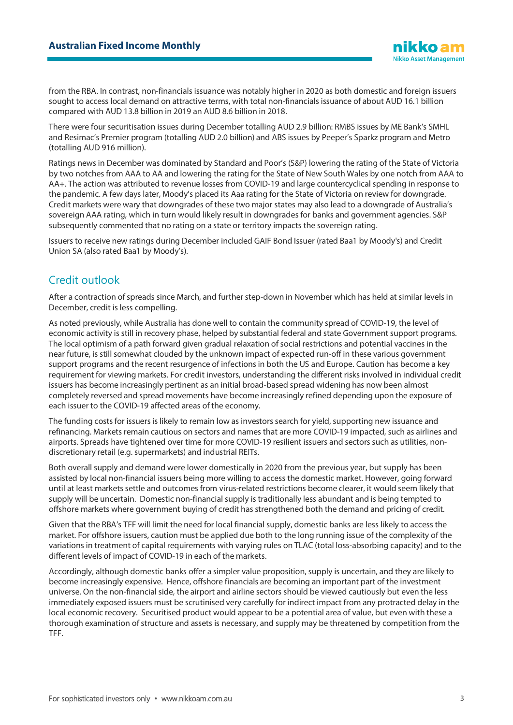from the RBA. In contrast, non-financials issuance was notably higher in 2020 as both domestic and foreign issuers sought to access local demand on attractive terms, with total non-financials issuance of about AUD 16.1 billion compared with AUD 13.8 billion in 2019 an AUD 8.6 billion in 2018.

There were four securitisation issues during December totalling AUD 2.9 billion: RMBS issues by ME Bank's SMHL and Resimac's Premier program (totalling AUD 2.0 billion) and ABS issues by Peeper's Sparkz program and Metro (totalling AUD 916 million).

Ratings news in December was dominated by Standard and Poor's (S&P) lowering the rating of the State of Victoria by two notches from AAA to AA and lowering the rating for the State of New South Wales by one notch from AAA to AA+. The action was attributed to revenue losses from COVID-19 and large countercyclical spending in response to the pandemic. A few days later, Moody's placed its Aaa rating for the State of Victoria on review for downgrade. Credit markets were wary that downgrades of these two major states may also lead to a downgrade of Australia's sovereign AAA rating, which in turn would likely result in downgrades for banks and government agencies. S&P subsequently commented that no rating on a state or territory impacts the sovereign rating.

Issuers to receive new ratings during December included GAIF Bond Issuer (rated Baa1 by Moody's) and Credit Union SA (also rated Baa1 by Moody's).

# Credit outlook

After a contraction of spreads since March, and further step-down in November which has held at similar levels in December, credit is less compelling.

As noted previously, while Australia has done well to contain the community spread of COVID-19, the level of economic activity is still in recovery phase, helped by substantial federal and state Government support programs. The local optimism of a path forward given gradual relaxation of social restrictions and potential vaccines in the near future, is still somewhat clouded by the unknown impact of expected run-off in these various government support programs and the recent resurgence of infections in both the US and Europe. Caution has become a key requirement for viewing markets. For credit investors, understanding the different risks involved in individual credit issuers has become increasingly pertinent as an initial broad-based spread widening has now been almost completely reversed and spread movements have become increasingly refined depending upon the exposure of each issuer to the COVID-19 affected areas of the economy.

The funding costs for issuers is likely to remain low as investors search for yield, supporting new issuance and refinancing. Markets remain cautious on sectors and names that are more COVID-19 impacted, such as airlines and airports. Spreads have tightened over time for more COVID-19 resilient issuers and sectors such as utilities, nondiscretionary retail (e.g. supermarkets) and industrial REITs.

Both overall supply and demand were lower domestically in 2020 from the previous year, but supply has been assisted by local non-financial issuers being more willing to access the domestic market. However, going forward until at least markets settle and outcomes from virus-related restrictions become clearer, it would seem likely that supply will be uncertain. Domestic non-financial supply is traditionally less abundant and is being tempted to offshore markets where government buying of credit has strengthened both the demand and pricing of credit.

Given that the RBA's TFF will limit the need for local financial supply, domestic banks are less likely to access the market. For offshore issuers, caution must be applied due both to the long running issue of the complexity of the variations in treatment of capital requirements with varying rules on TLAC (total loss-absorbing capacity) and to the different levels of impact of COVID-19 in each of the markets.

Accordingly, although domestic banks offer a simpler value proposition, supply is uncertain, and they are likely to become increasingly expensive. Hence, offshore financials are becoming an important part of the investment universe. On the non-financial side, the airport and airline sectors should be viewed cautiously but even the less immediately exposed issuers must be scrutinised very carefully for indirect impact from any protracted delay in the local economic recovery. Securitised product would appear to be a potential area of value, but even with these a thorough examination of structure and assets is necessary, and supply may be threatened by competition from the TFF.

**Nikko Asset Management**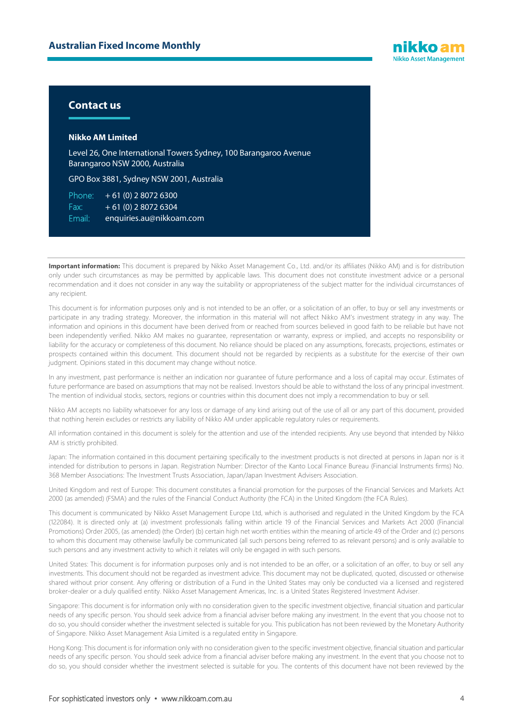

#### **Contact us**

#### **Nikko AM Limited**

Level 26, One International Towers Sydney, 100 Barangaroo Avenue Barangaroo NSW 2000, Australia

GPO Box 3881, Sydney NSW 2001, Australia

Phone:  $+61(0)$  2 8072 6300 Fax:  $+ 61 (0) 280726304$ Email: enquiries.au@nikkoam.com

Important information: This document is prepared by Nikko Asset Management Co., Ltd. and/or its affiliates (Nikko AM) and is for distribution only under such circumstances as may be permitted by applicable laws. This document does not constitute investment advice or a personal recommendation and it does not consider in any way the suitability or appropriateness of the subject matter for the individual circumstances of any recipient.

This document is for information purposes only and is not intended to be an offer, or a solicitation of an offer, to buy or sell any investments or participate in any trading strategy. Moreover, the information in this material will not affect Nikko AM's investment strategy in any way. The information and opinions in this document have been derived from or reached from sources believed in good faith to be reliable but have not been independently verified. Nikko AM makes no guarantee, representation or warranty, express or implied, and accepts no responsibility or liability for the accuracy or completeness of this document. No reliance should be placed on any assumptions, forecasts, projections, estimates or prospects contained within this document. This document should not be regarded by recipients as a substitute for the exercise of their own judgment. Opinions stated in this document may change without notice.

In any investment, past performance is neither an indication nor guarantee of future performance and a loss of capital may occur. Estimates of future performance are based on assumptions that may not be realised. Investors should be able to withstand the loss of any principal investment. The mention of individual stocks, sectors, regions or countries within this document does not imply a recommendation to buy or sell.

Nikko AM accepts no liability whatsoever for any loss or damage of any kind arising out of the use of all or any part of this document, provided that nothing herein excludes or restricts any liability of Nikko AM under applicable regulatory rules or requirements.

All information contained in this document is solely for the attention and use of the intended recipients. Any use beyond that intended by Nikko AM is strictly prohibited.

Japan: The information contained in this document pertaining specifically to the investment products is not directed at persons in Japan nor is it intended for distribution to persons in Japan. Registration Number: Director of the Kanto Local Finance Bureau (Financial Instruments firms) No. 368 Member Associations: The Investment Trusts Association, Japan/Japan Investment Advisers Association.

United Kingdom and rest of Europe: This document constitutes a financial promotion for the purposes of the Financial Services and Markets Act 2000 (as amended) (FSMA) and the rules of the Financial Conduct Authority (the FCA) in the United Kingdom (the FCA Rules).

This document is communicated by Nikko Asset Management Europe Ltd, which is authorised and regulated in the United Kingdom by the FCA (122084). It is directed only at (a) investment professionals falling within article 19 of the Financial Services and Markets Act 2000 (Financial Promotions) Order 2005, (as amended) (the Order) (b) certain high net worth entities within the meaning of article 49 of the Order and (c) persons to whom this document may otherwise lawfully be communicated (all such persons being referred to as relevant persons) and is only available to such persons and any investment activity to which it relates will only be engaged in with such persons.

United States: This document is for information purposes only and is not intended to be an offer, or a solicitation of an offer, to buy or sell any investments. This document should not be regarded as investment advice. This document may not be duplicated, quoted, discussed or otherwise shared without prior consent. Any offering or distribution of a Fund in the United States may only be conducted via a licensed and registered broker-dealer or a duly qualified entity. Nikko Asset Management Americas, Inc. is a United States Registered Investment Adviser.

Singapore: This document is for information only with no consideration given to the specific investment objective, financial situation and particular needs of any specific person. You should seek advice from a financial adviser before making any investment. In the event that you choose not to do so, you should consider whether the investment selected is suitable for you. This publication has not been reviewed by the Monetary Authority of Singapore. Nikko Asset Management Asia Limited is a regulated entity in Singapore.

Hong Kong: This document is for information only with no consideration given to the specific investment objective, financial situation and particular needs of any specific person. You should seek advice from a financial adviser before making any investment. In the event that you choose not to do so, you should consider whether the investment selected is suitable for you. The contents of this document have not been reviewed by the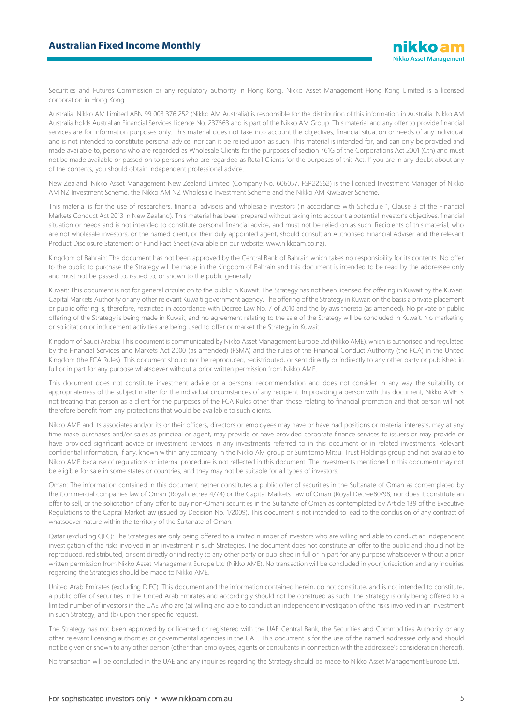Securities and Futures Commission or any regulatory authority in Hong Kong. Nikko Asset Management Hong Kong Limited is a licensed corporation in Hong Kong.

Australia: Nikko AM Limited ABN 99 003 376 252 (Nikko AM Australia) is responsible for the distribution of this information in Australia. Nikko AM Australia holds Australian Financial Services Licence No. 237563 and is part of the Nikko AM Group. This material and any offer to provide financial services are for information purposes only. This material does not take into account the objectives, financial situation or needs of any individual and is not intended to constitute personal advice, nor can it be relied upon as such. This material is intended for, and can only be provided and made available to, persons who are regarded as Wholesale Clients for the purposes of section 761G of the Corporations Act 2001 (Cth) and must not be made available or passed on to persons who are regarded as Retail Clients for the purposes of this Act. If you are in any doubt about any of the contents, you should obtain independent professional advice.

New Zealand: Nikko Asset Management New Zealand Limited (Company No. 606057, FSP22562) is the licensed Investment Manager of Nikko AM NZ Investment Scheme, the Nikko AM NZ Wholesale Investment Scheme and the Nikko AM KiwiSaver Scheme.

This material is for the use of researchers, financial advisers and wholesale investors (in accordance with Schedule 1, Clause 3 of the Financial Markets Conduct Act 2013 in New Zealand). This material has been prepared without taking into account a potential investor's objectives, financial situation or needs and is not intended to constitute personal financial advice, and must not be relied on as such. Recipients of this material, who are not wholesale investors, or the named client, or their duly appointed agent, should consult an Authorised Financial Adviser and the relevant Product Disclosure Statement or Fund Fact Sheet (available on our website: www.nikkoam.co.nz).

Kingdom of Bahrain: The document has not been approved by the Central Bank of Bahrain which takes no responsibility for its contents. No offer to the public to purchase the Strategy will be made in the Kingdom of Bahrain and this document is intended to be read by the addressee only and must not be passed to, issued to, or shown to the public generally.

Kuwait: This document is not for general circulation to the public in Kuwait. The Strategy has not been licensed for offering in Kuwait by the Kuwaiti Capital Markets Authority or any other relevant Kuwaiti government agency. The offering of the Strategy in Kuwait on the basis a private placement or public offering is, therefore, restricted in accordance with Decree Law No. 7 of 2010 and the bylaws thereto (as amended). No private or public offering of the Strategy is being made in Kuwait, and no agreement relating to the sale of the Strategy will be concluded in Kuwait. No marketing or solicitation or inducement activities are being used to offer or market the Strategy in Kuwait.

Kingdom of Saudi Arabia: This document is communicated by Nikko Asset Management Europe Ltd (Nikko AME), which is authorised and regulated by the Financial Services and Markets Act 2000 (as amended) (FSMA) and the rules of the Financial Conduct Authority (the FCA) in the United Kingdom (the FCA Rules). This document should not be reproduced, redistributed, or sent directly or indirectly to any other party or published in full or in part for any purpose whatsoever without a prior written permission from Nikko AME.

This document does not constitute investment advice or a personal recommendation and does not consider in any way the suitability or appropriateness of the subject matter for the individual circumstances of any recipient. In providing a person with this document, Nikko AME is not treating that person as a client for the purposes of the FCA Rules other than those relating to financial promotion and that person will not therefore benefit from any protections that would be available to such clients.

Nikko AME and its associates and/or its or their officers, directors or employees may have or have had positions or material interests, may at any time make purchases and/or sales as principal or agent, may provide or have provided corporate finance services to issuers or may provide or have provided significant advice or investment services in any investments referred to in this document or in related investments. Relevant confidential information, if any, known within any company in the Nikko AM group or Sumitomo Mitsui Trust Holdings group and not available to Nikko AME because of regulations or internal procedure is not reflected in this document. The investments mentioned in this document may not be eligible for sale in some states or countries, and they may not be suitable for all types of investors.

Oman: The information contained in this document nether constitutes a public offer of securities in the Sultanate of Oman as contemplated by the Commercial companies law of Oman (Royal decree 4/74) or the Capital Markets Law of Oman (Royal Decree80/98, nor does it constitute an offer to sell, or the solicitation of any offer to buy non-Omani securities in the Sultanate of Oman as contemplated by Article 139 of the Executive Regulations to the Capital Market law (issued by Decision No. 1/2009). This document is not intended to lead to the conclusion of any contract of whatsoever nature within the territory of the Sultanate of Oman.

Qatar (excluding QFC): The Strategies are only being offered to a limited number of investors who are willing and able to conduct an independent investigation of the risks involved in an investment in such Strategies. The document does not constitute an offer to the public and should not be reproduced, redistributed, or sent directly or indirectly to any other party or published in full or in part for any purpose whatsoever without a prior written permission from Nikko Asset Management Europe Ltd (Nikko AME). No transaction will be concluded in your jurisdiction and any inquiries regarding the Strategies should be made to Nikko AME.

United Arab Emirates (excluding DIFC): This document and the information contained herein, do not constitute, and is not intended to constitute, a public offer of securities in the United Arab Emirates and accordingly should not be construed as such. The Strategy is only being offered to a limited number of investors in the UAE who are (a) willing and able to conduct an independent investigation of the risks involved in an investment in such Strategy, and (b) upon their specific request.

The Strategy has not been approved by or licensed or registered with the UAE Central Bank, the Securities and Commodities Authority or any other relevant licensing authorities or governmental agencies in the UAE. This document is for the use of the named addressee only and should not be given or shown to any other person (other than employees, agents or consultants in connection with the addressee's consideration thereof).

No transaction will be concluded in the UAE and any inquiries regarding the Strategy should be made to Nikko Asset Management Europe Ltd.